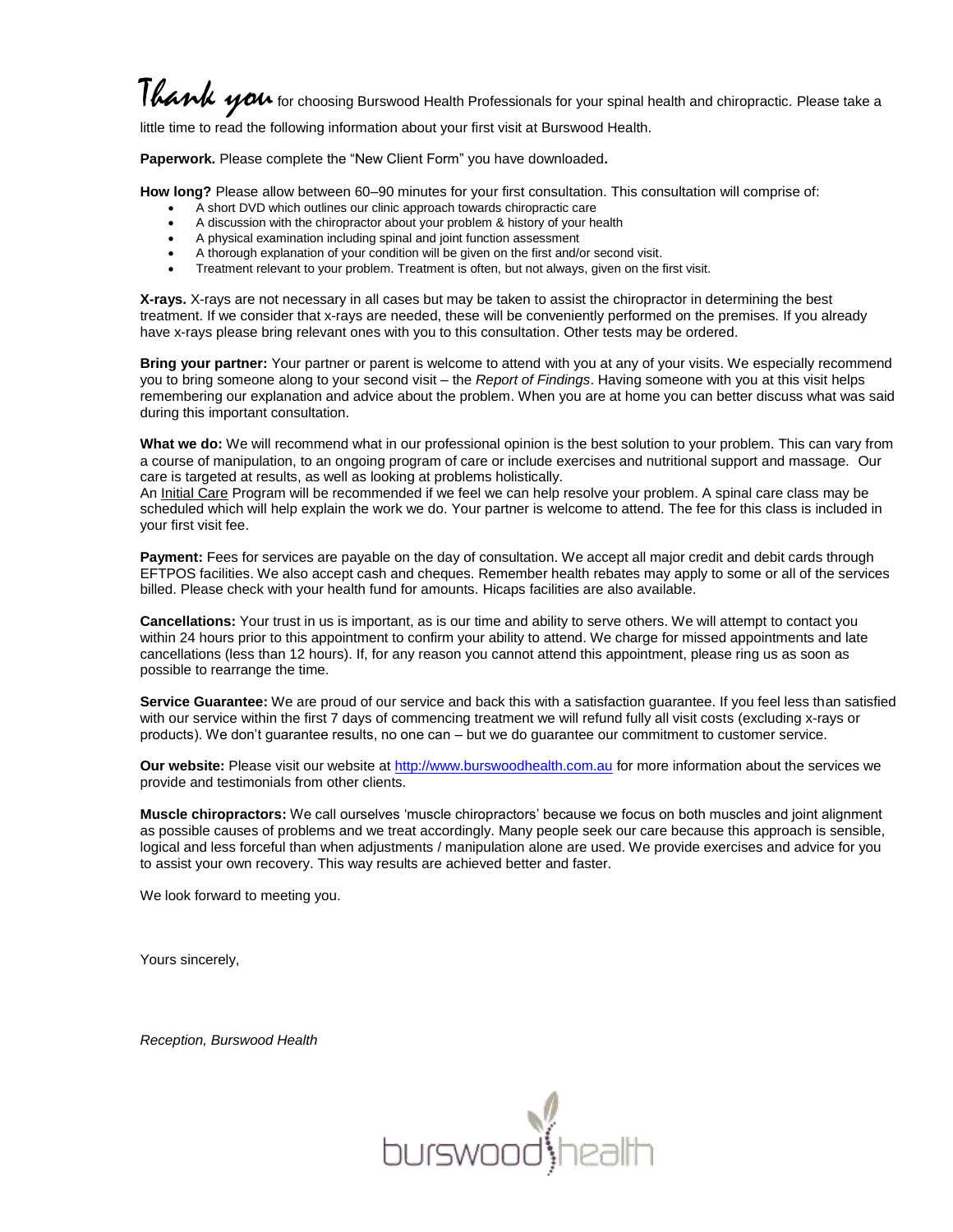## Thank you for choosing Burswood Health Professionals for your spinal health and chiropractic. Please take a

little time to read the following information about your first visit at Burswood Health.

**Paperwork.** Please complete the "New Client Form" you have downloaded**.**

**How long?** Please allow between 60–90 minutes for your first consultation. This consultation will comprise of:

- A short DVD which outlines our clinic approach towards chiropractic care
- A discussion with the chiropractor about your problem & history of your health
- A physical examination including spinal and joint function assessment
- A thorough explanation of your condition will be given on the first and/or second visit.
- Treatment relevant to your problem. Treatment is often, but not always, given on the first visit.

**X-rays.** X-rays are not necessary in all cases but may be taken to assist the chiropractor in determining the best treatment. If we consider that x-rays are needed, these will be conveniently performed on the premises. If you already have x-rays please bring relevant ones with you to this consultation. Other tests may be ordered.

**Bring your partner:** Your partner or parent is welcome to attend with you at any of your visits. We especially recommend you to bring someone along to your second visit – the *Report of Findings*. Having someone with you at this visit helps remembering our explanation and advice about the problem. When you are at home you can better discuss what was said during this important consultation.

**What we do:** We will recommend what in our professional opinion is the best solution to your problem. This can vary from a course of manipulation, to an ongoing program of care or include exercises and nutritional support and massage. Our care is targeted at results, as well as looking at problems holistically.

An Initial Care Program will be recommended if we feel we can help resolve your problem. A spinal care class may be scheduled which will help explain the work we do. Your partner is welcome to attend. The fee for this class is included in your first visit fee.

**Payment:** Fees for services are payable on the day of consultation. We accept all major credit and debit cards through EFTPOS facilities. We also accept cash and cheques. Remember health rebates may apply to some or all of the services billed. Please check with your health fund for amounts. Hicaps facilities are also available.

**Cancellations:** Your trust in us is important, as is our time and ability to serve others. We will attempt to contact you within 24 hours prior to this appointment to confirm your ability to attend. We charge for missed appointments and late cancellations (less than 12 hours). If, for any reason you cannot attend this appointment, please ring us as soon as possible to rearrange the time.

**Service Guarantee:** We are proud of our service and back this with a satisfaction guarantee. If you feel less than satisfied with our service within the first 7 days of commencing treatment we will refund fully all visit costs (excluding x-rays or products). We don"t guarantee results, no one can – but we do guarantee our commitment to customer service.

Our website: Please visit our website a[t http://www.burswoodhealth.com.au](http://www.burswoodhealth.com.au/) for more information about the services we provide and testimonials from other clients.

**Muscle chiropractors:** We call ourselves "muscle chiropractors" because we focus on both muscles and joint alignment as possible causes of problems and we treat accordingly. Many people seek our care because this approach is sensible, logical and less forceful than when adjustments / manipulation alone are used. We provide exercises and advice for you to assist your own recovery. This way results are achieved better and faster.

We look forward to meeting you.

Yours sincerely,

*Reception, Burswood Health*

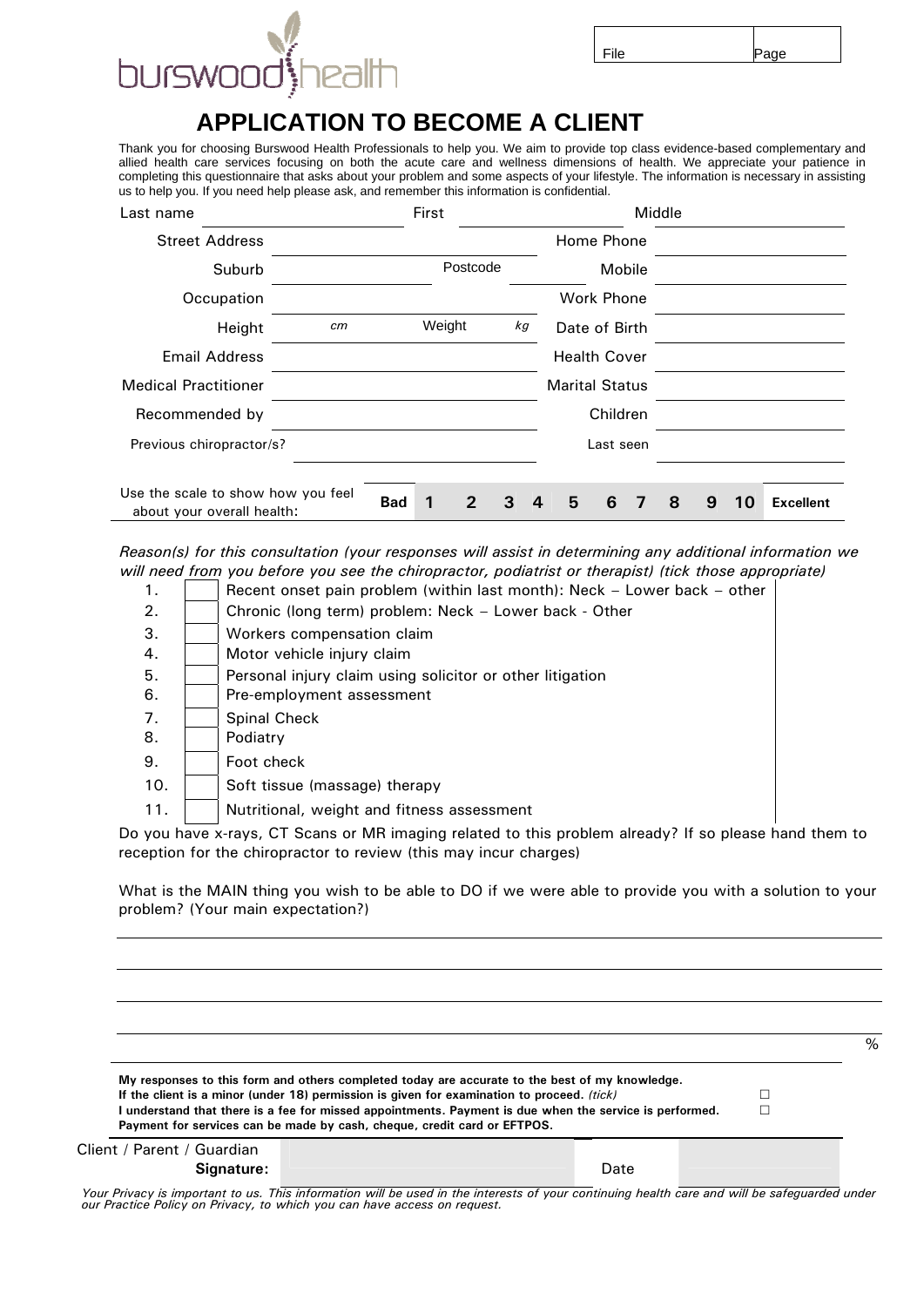

## **APPLICATION TO BECOME A CLIENT**

Thank you for choosing Burswood Health Professionals to help you. We aim to provide top class evidence-based complementary and allied health care services focusing on both the acute care and wellness dimensions of health. We appreciate your patience in completing this questionnaire that asks about your problem and some aspects of your lifestyle. The information is necessary in assisting us to help you. If you need help please ask, and remember this information is confidential.

| Last name                                                        |    |            | First  |          |    |  |                       |           | Middle |   |    |                  |
|------------------------------------------------------------------|----|------------|--------|----------|----|--|-----------------------|-----------|--------|---|----|------------------|
| <b>Street Address</b>                                            |    |            |        |          |    |  | Home Phone            |           |        |   |    |                  |
| Suburb                                                           |    |            |        | Postcode |    |  |                       | Mobile    |        |   |    |                  |
| Occupation                                                       |    |            |        |          |    |  | Work Phone            |           |        |   |    |                  |
| Height                                                           | cm |            | Weight |          | kg |  | Date of Birth         |           |        |   |    |                  |
| <b>Email Address</b>                                             |    |            |        |          |    |  | <b>Health Cover</b>   |           |        |   |    |                  |
| <b>Medical Practitioner</b>                                      |    |            |        |          |    |  | <b>Marital Status</b> |           |        |   |    |                  |
| Recommended by                                                   |    |            |        |          |    |  |                       | Children  |        |   |    |                  |
| Previous chiropractor/s?                                         |    |            |        |          |    |  |                       | Last seen |        |   |    |                  |
|                                                                  |    |            |        |          |    |  |                       |           |        |   |    |                  |
| Use the scale to show how you feel<br>about your overall health: |    | <b>Bad</b> |        | 2        | 3  |  | 5                     | 6         | 8      | 9 | 10 | <b>Excellent</b> |

*Reason(s) for this consultation (your responses will assist in determining any additional information we will need from you before you see the chiropractor, podiatrist or therapist) (tick those appropriate)* 

- 1. **Recent onset pain problem (within last month): Neck Lower back other**
- 2. | Chronic (long term) problem: Neck Lower back Other
- 3. Workers compensation claim
- 4. | | Motor vehicle injury claim
- 5. **Personal injury claim using solicitor or other litigation**
- 6. **Pre-employment assessment**
- 7. **Spinal Check**
- 8. **Podiatry**
- 9. Foot check
- 10. | Soft tissue (massage) therapy
- 11. | | Nutritional, weight and fitness assessment

Do you have x-rays, CT Scans or MR imaging related to this problem already? If so please hand them to reception for the chiropractor to review (this may incur charges)

What is the MAIN thing you wish to be able to DO if we were able to provide you with a solution to your problem? (Your main expectation?)

|                                                                                                                                                                                     | % |
|-------------------------------------------------------------------------------------------------------------------------------------------------------------------------------------|---|
| My responses to this form and others completed today are accurate to the best of my knowledge.                                                                                      |   |
| If the client is a minor (under 18) permission is given for examination to proceed. (tick)                                                                                          |   |
| I understand that there is a fee for missed appointments. Payment is due when the service is performed.<br>Payment for services can be made by cash, cheque, credit card or EFTPOS. |   |
| Client / Parent / Guardian                                                                                                                                                          |   |

|  | Client / Parent / Guardian |
|--|----------------------------|
|  | Signature:                 |

Date

*Your Privacy is important to us. This information will be used in the interests of your continuing health care and will be safeguarded under our Practice Policy on Privacy, to which you can have access on request.*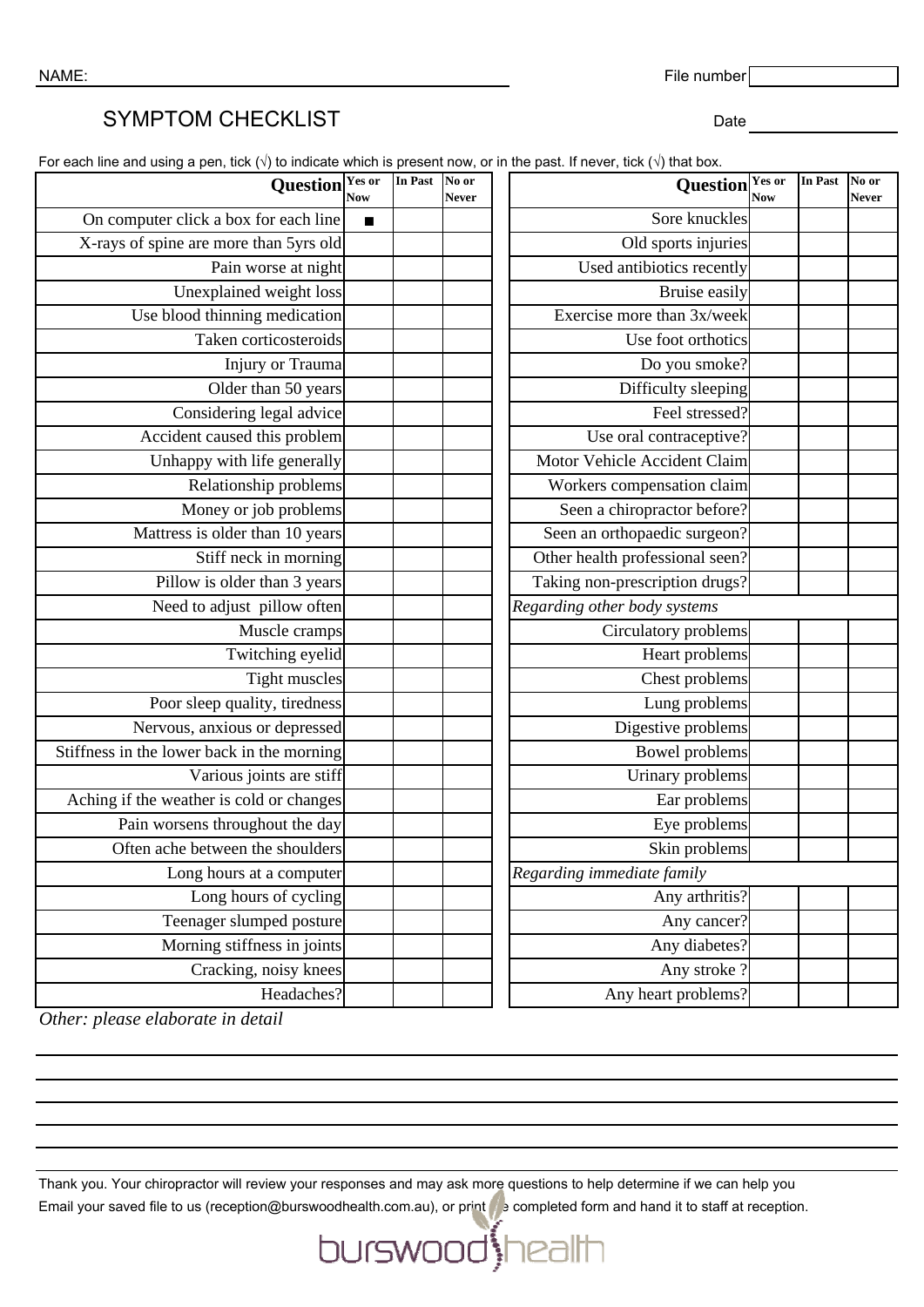NAME: File number  $\lceil$ 

## SYMPTOM CHECKLIST DATE: Date

For each line and using a pen, tick ( $\sqrt{ }$ ) to indicate which is present now, or in the past. If never, tick ( $\sqrt{ }$ ) that box.

| Question <sup>Yes or</sup><br><b>Now</b>   | In Past        | No or<br>Never | Question Yes or                 | <b>Now</b> | <b>In Past</b> | No or<br><b>Never</b> |
|--------------------------------------------|----------------|----------------|---------------------------------|------------|----------------|-----------------------|
| On computer click a box for each line      | $\blacksquare$ |                | Sore knuckles                   |            |                |                       |
| X-rays of spine are more than 5yrs old     |                |                | Old sports injuries             |            |                |                       |
| Pain worse at night                        |                |                | Used antibiotics recently       |            |                |                       |
| Unexplained weight loss                    |                |                | Bruise easily                   |            |                |                       |
| Use blood thinning medication              |                |                | Exercise more than 3x/week      |            |                |                       |
| Taken corticosteroids                      |                |                | Use foot orthotics              |            |                |                       |
| Injury or Trauma                           |                |                | Do you smoke?                   |            |                |                       |
| Older than 50 years                        |                |                | Difficulty sleeping             |            |                |                       |
| Considering legal advice                   |                |                | Feel stressed?                  |            |                |                       |
| Accident caused this problem               |                |                | Use oral contraceptive?         |            |                |                       |
| Unhappy with life generally                |                |                | Motor Vehicle Accident Claim    |            |                |                       |
| Relationship problems                      |                |                | Workers compensation claim      |            |                |                       |
| Money or job problems                      |                |                | Seen a chiropractor before?     |            |                |                       |
| Mattress is older than 10 years            |                |                | Seen an orthopaedic surgeon?    |            |                |                       |
| Stiff neck in morning                      |                |                | Other health professional seen? |            |                |                       |
| Pillow is older than 3 years               |                |                | Taking non-prescription drugs?  |            |                |                       |
| Need to adjust pillow often                |                |                | Regarding other body systems    |            |                |                       |
| Muscle cramps                              |                |                | Circulatory problems            |            |                |                       |
| Twitching eyelid                           |                |                | Heart problems                  |            |                |                       |
| <b>Tight muscles</b>                       |                |                | Chest problems                  |            |                |                       |
| Poor sleep quality, tiredness              |                |                | Lung problems                   |            |                |                       |
| Nervous, anxious or depressed              |                |                | Digestive problems              |            |                |                       |
| Stiffness in the lower back in the morning |                |                | Bowel problems                  |            |                |                       |
| Various joints are stiff                   |                |                | Urinary problems                |            |                |                       |
| Aching if the weather is cold or changes   |                |                | Ear problems                    |            |                |                       |
| Pain worsens throughout the day            |                |                | Eye problems                    |            |                |                       |
| Often ache between the shoulders           |                |                | Skin problems                   |            |                |                       |
| Long hours at a computer                   |                |                | Regarding immediate family      |            |                |                       |
| Long hours of cycling                      |                |                | Any arthritis?                  |            |                |                       |
| Teenager slumped posture                   |                |                | Any cancer?                     |            |                |                       |
| Morning stiffness in joints                |                |                | Any diabetes?                   |            |                |                       |
| Cracking, noisy knees                      |                |                | Any stroke?                     |            |                |                       |
| Headaches?                                 |                |                | Any heart problems?             |            |                |                       |

*Other: please elaborate in detail*

Thank you. Your chiropractor will review your responses and may ask more questions to help determine if we can help you Email your saved file to us (reception@burswoodhealth.com.au), or print the completed form and hand it to staff at reception.

burswood health